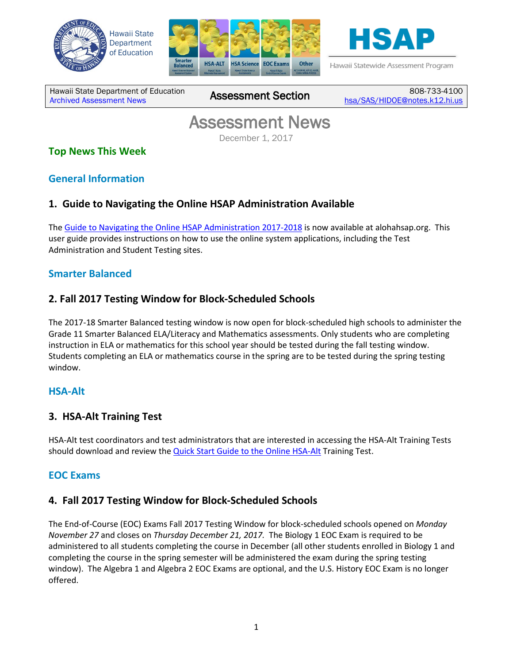





Hawaii Statewide Assessment Program

Hawaii State Department of Education Hawaii State Department of Education 808-733-4100<br>[Archived Assessment News](http://alohahsap.org/SMARTERBALANCED/resources/?section=91) **Assessment Section** <sub>[hsa/SAS/HIDOE@notes.k12.hi.us](mailto:hsa/SAS/HIDOE@notes.k12.hi.us)</sub>

# **Assessment News**<br>December 1, 2017

# **Top News This Week**

# **General Information**

## **1. Guide to Navigating the Online HSAP Administration Available**

The Guide to Navigating the Online HSAP Administration 2017-2018 is now available at alohahsap.org. This user guide provides instructions on how to use the online system applications, including the Test Administration and Student Testing sites.

### **Smarter Balanced**

## **2. Fall 2017 Testing Window for Block-Scheduled Schools**

The 2017-18 Smarter Balanced testing window is now open for block-scheduled high schools to administer the Grade 11 Smarter Balanced ELA/Literacy and Mathematics assessments. Only students who are completing instruction in ELA or mathematics for this school year should be tested during the fall testing window. Students completing an ELA or mathematics course in the spring are to be tested during the spring testing window.

#### **HSA-Alt**

#### **3. HSA-Alt Training Test**

HSA-Alt test coordinators and test administrators that are interested in accessing the HSA-Alt Training Tests should download and review the **Quick Start Guide to the Online HSA-Alt** Training Test.

#### **EOC Exams**

#### **4. Fall 2017 Testing Window for Block-Scheduled Schools**

The End-of-Course (EOC) Exams Fall 2017 Testing Window for block-scheduled schools opened on *Monday November 27* and closes on *Thursday December 21, 2017.* The Biology 1 EOC Exam is required to be administered to all students completing the course in December (all other students enrolled in Biology 1 and completing the course in the spring semester will be administered the exam during the spring testing window). The Algebra 1 and Algebra 2 EOC Exams are optional, and the U.S. History EOC Exam is no longer offered.